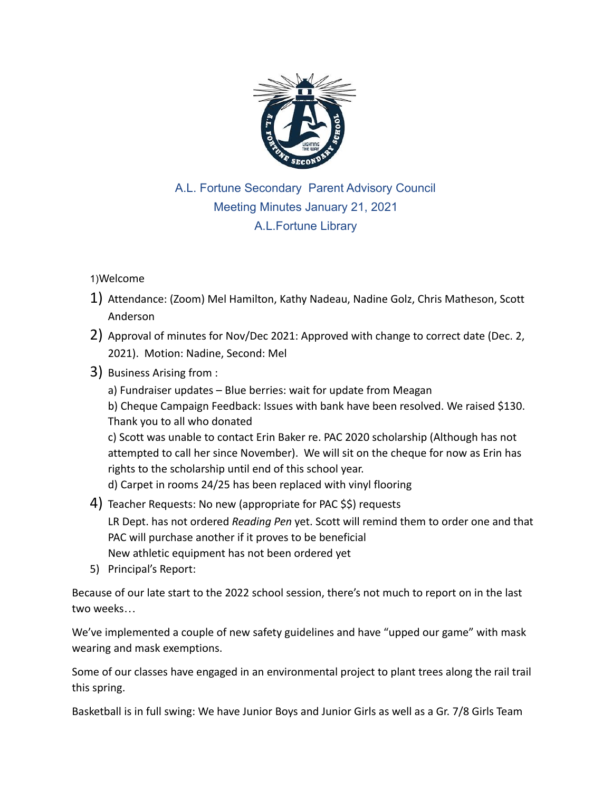

## A.L. Fortune Secondary Parent Advisory Council Meeting Minutes January 21, 2021 A.L.Fortune Library

## 1)Welcome

- 1) Attendance: (Zoom) Mel Hamilton, Kathy Nadeau, Nadine Golz, Chris Matheson, Scott Anderson
- 2) Approval of minutes for Nov/Dec 2021: Approved with change to correct date (Dec. 2, 2021). Motion: Nadine, Second: Mel
- 3) Business Arising from :

a) Fundraiser updates – Blue berries: wait for update from Meagan

b) Cheque Campaign Feedback: Issues with bank have been resolved. We raised \$130. Thank you to all who donated

c) Scott was unable to contact Erin Baker re. PAC 2020 scholarship (Although has not attempted to call her since November). We will sit on the cheque for now as Erin has rights to the scholarship until end of this school year.

d) Carpet in rooms 24/25 has been replaced with vinyl flooring

- 4) Teacher Requests: No new (appropriate for PAC \$\$) requests LR Dept. has not ordered *Reading Pen* yet. Scott will remind them to order one and that PAC will purchase another if it proves to be beneficial New athletic equipment has not been ordered yet
- 5) Principal's Report:

Because of our late start to the 2022 school session, there's not much to report on in the last two weeks…

We've implemented a couple of new safety guidelines and have "upped our game" with mask wearing and mask exemptions.

Some of our classes have engaged in an environmental project to plant trees along the rail trail this spring.

Basketball is in full swing: We have Junior Boys and Junior Girls as well as a Gr. 7/8 Girls Team